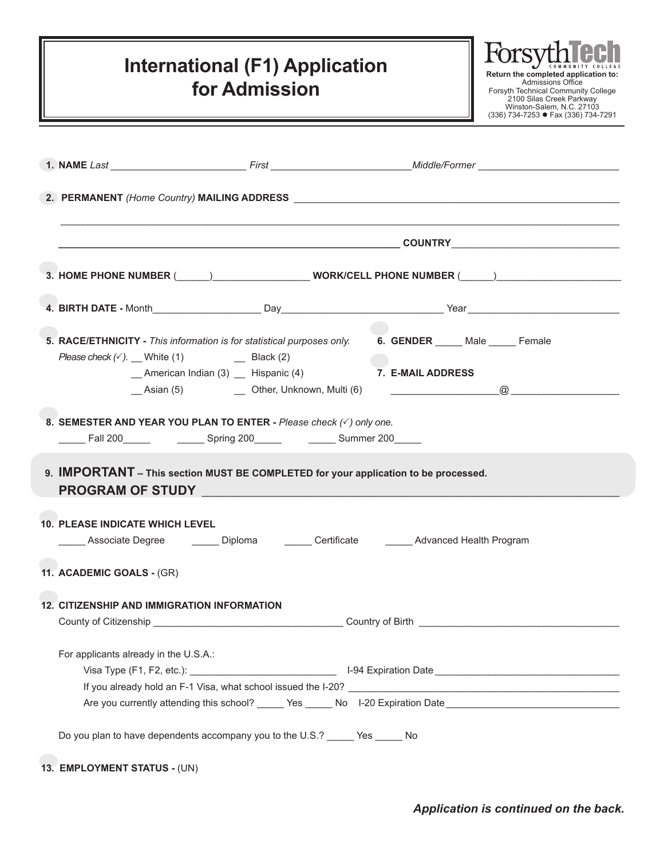## **International (F1) Application for Admission**



|                                                    |                                                                                                                                                                                                                                                                                                                       | 1. NAME Last ____________________________First __________________________Middle/Former _______________________ |
|----------------------------------------------------|-----------------------------------------------------------------------------------------------------------------------------------------------------------------------------------------------------------------------------------------------------------------------------------------------------------------------|----------------------------------------------------------------------------------------------------------------|
|                                                    |                                                                                                                                                                                                                                                                                                                       |                                                                                                                |
|                                                    |                                                                                                                                                                                                                                                                                                                       |                                                                                                                |
|                                                    |                                                                                                                                                                                                                                                                                                                       | 3. HOME PHONE NUMBER (_____)__________________WORK/CELL PHONE NUMBER (_____)_____                              |
|                                                    |                                                                                                                                                                                                                                                                                                                       |                                                                                                                |
|                                                    |                                                                                                                                                                                                                                                                                                                       | 5. RACE/ETHNICITY - This information is for statistical purposes only. 6. GENDER Male Remale                   |
|                                                    | _American Indian (3) __ Hispanic (4) 7. E-MAIL ADDRESS                                                                                                                                                                                                                                                                |                                                                                                                |
|                                                    |                                                                                                                                                                                                                                                                                                                       |                                                                                                                |
|                                                    | 9. IMPORTANT - This section MUST BE COMPLETED for your application to be processed.<br>PROGRAM OF STUDY And the contract of the contract of the contract of the contract of the contract of the contract of the contract of the contract of the contract of the contract of the contract of the contract of the contr |                                                                                                                |
| <b>10. PLEASE INDICATE WHICH LEVEL</b>             |                                                                                                                                                                                                                                                                                                                       | Associate Degree ________ Diploma ________ Certificate ________ Advanced Health Program                        |
| 11. ACADEMIC GOALS - (GR)                          |                                                                                                                                                                                                                                                                                                                       |                                                                                                                |
| <b>12. CITIZENSHIP AND IMMIGRATION INFORMATION</b> |                                                                                                                                                                                                                                                                                                                       |                                                                                                                |
|                                                    |                                                                                                                                                                                                                                                                                                                       |                                                                                                                |
| For applicants already in the U.S.A.:              |                                                                                                                                                                                                                                                                                                                       |                                                                                                                |
|                                                    |                                                                                                                                                                                                                                                                                                                       |                                                                                                                |
|                                                    |                                                                                                                                                                                                                                                                                                                       |                                                                                                                |
|                                                    |                                                                                                                                                                                                                                                                                                                       | Are you currently attending this school? _____ Yes _____ No l-20 Expiration Date _____________________________ |
|                                                    | Do you plan to have dependents accompany you to the U.S.? _____ Yes _____ No                                                                                                                                                                                                                                          |                                                                                                                |
|                                                    |                                                                                                                                                                                                                                                                                                                       |                                                                                                                |

**13. EMPLOYMENT STATUS -** (UN)